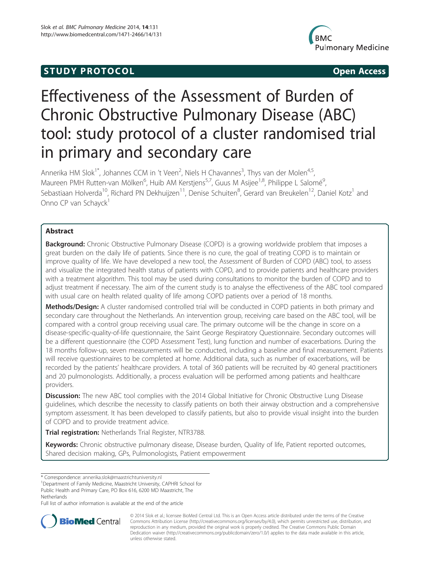## **STUDY PROTOCOL CONSUMING THE STUDY PROTOCOL**



# Effectiveness of the Assessment of Burden of Chronic Obstructive Pulmonary Disease (ABC) tool: study protocol of a cluster randomised trial in primary and secondary care

Annerika HM Slok<sup>1\*</sup>, Johannes CCM in 't Veen<sup>2</sup>, Niels H Chavannes<sup>3</sup>, Thys van der Molen<sup>4,5</sup>, Maureen PMH Rutten-van Mölken<sup>6</sup>, Huib AM Kerstjens<sup>5,7</sup>, Guus M Asijee<sup>1,8</sup>, Philippe L Salomé<sup>9</sup> , Sebastiaan Holverda<sup>10</sup>, Richard PN Dekhuijzen<sup>11</sup>, Denise Schuiten<sup>8</sup>, Gerard van Breukelen<sup>12</sup>, Daniel Kotz<sup>1</sup> and Onno CP van Schayck<sup>1</sup>

## Abstract

Background: Chronic Obstructive Pulmonary Disease (COPD) is a growing worldwide problem that imposes a great burden on the daily life of patients. Since there is no cure, the goal of treating COPD is to maintain or improve quality of life. We have developed a new tool, the Assessment of Burden of COPD (ABC) tool, to assess and visualize the integrated health status of patients with COPD, and to provide patients and healthcare providers with a treatment algorithm. This tool may be used during consultations to monitor the burden of COPD and to adjust treatment if necessary. The aim of the current study is to analyse the effectiveness of the ABC tool compared with usual care on health related quality of life among COPD patients over a period of 18 months.

Methods/Design: A cluster randomised controlled trial will be conducted in COPD patients in both primary and secondary care throughout the Netherlands. An intervention group, receiving care based on the ABC tool, will be compared with a control group receiving usual care. The primary outcome will be the change in score on a disease-specific-quality-of-life questionnaire, the Saint George Respiratory Questionnaire. Secondary outcomes will be a different questionnaire (the COPD Assessment Test), lung function and number of exacerbations. During the 18 months follow-up, seven measurements will be conducted, including a baseline and final measurement. Patients will receive questionnaires to be completed at home. Additional data, such as number of exacerbations, will be recorded by the patients' healthcare providers. A total of 360 patients will be recruited by 40 general practitioners and 20 pulmonologists. Additionally, a process evaluation will be performed among patients and healthcare providers.

**Discussion:** The new ABC tool complies with the 2014 Global Initiative for Chronic Obstructive Lung Disease guidelines, which describe the necessity to classify patients on both their airway obstruction and a comprehensive symptom assessment. It has been developed to classify patients, but also to provide visual insight into the burden of COPD and to provide treatment advice.

Trial registration: Netherlands Trial Register, [NTR3788](http://www.trialregister.nl/trialreg/admin/rctsearch.asp?Term=3788).

Keywords: Chronic obstructive pulmonary disease, Disease burden, Quality of life, Patient reported outcomes, Shared decision making, GPs, Pulmonologists, Patient empowerment

\* Correspondence: [annerika.slok@maastrichtuniversity.nl](mailto:annerika.slok@maastrichtuniversity.nl) <sup>1</sup>

Department of Family Medicine, Maastricht University, CAPHRI School for Public Health and Primary Care, PO Box 616, 6200 MD Maastricht, The Netherlands

Full list of author information is available at the end of the article



© 2014 Slok et al.; licensee BioMed Central Ltd. This is an Open Access article distributed under the terms of the Creative Commons Attribution License [\(http://creativecommons.org/licenses/by/4.0\)](http://creativecommons.org/licenses/by/4.0), which permits unrestricted use, distribution, and reproduction in any medium, provided the original work is properly credited. The Creative Commons Public Domain Dedication waiver [\(http://creativecommons.org/publicdomain/zero/1.0/](http://creativecommons.org/publicdomain/zero/1.0/)) applies to the data made available in this article, unless otherwise stated.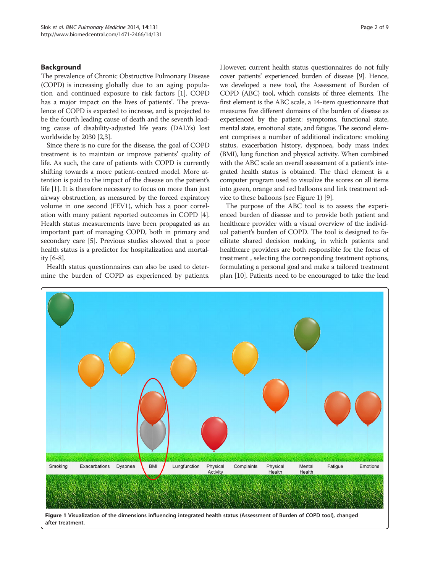## <span id="page-1-0"></span>Background

The prevalence of Chronic Obstructive Pulmonary Disease (COPD) is increasing globally due to an aging population and continued exposure to risk factors [\[1](#page-7-0)]. COPD has a major impact on the lives of patients'. The prevalence of COPD is expected to increase, and is projected to be the fourth leading cause of death and the seventh leading cause of disability-adjusted life years (DALYs) lost worldwide by 2030 [\[2,3\]](#page-7-0).

Since there is no cure for the disease, the goal of COPD treatment is to maintain or improve patients' quality of life. As such, the care of patients with COPD is currently shifting towards a more patient-centred model. More attention is paid to the impact of the disease on the patient's life [\[1](#page-7-0)]. It is therefore necessary to focus on more than just airway obstruction, as measured by the forced expiratory volume in one second (FEV1), which has a poor correlation with many patient reported outcomes in COPD [[4](#page-7-0)]. Health status measurements have been propagated as an important part of managing COPD, both in primary and secondary care [[5\]](#page-7-0). Previous studies showed that a poor health status is a predictor for hospitalization and mortality [\[6](#page-7-0)-[8](#page-7-0)].

Health status questionnaires can also be used to determine the burden of COPD as experienced by patients.

However, current health status questionnaires do not fully cover patients' experienced burden of disease [\[9\]](#page-7-0). Hence, we developed a new tool, the Assessment of Burden of COPD (ABC) tool, which consists of three elements. The first element is the ABC scale, a 14-item questionnaire that measures five different domains of the burden of disease as experienced by the patient: symptoms, functional state, mental state, emotional state, and fatigue. The second element comprises a number of additional indicators: smoking status, exacerbation history, dyspnoea, body mass index (BMI), lung function and physical activity. When combined with the ABC scale an overall assessment of a patient's integrated health status is obtained. The third element is a computer program used to visualize the scores on all items into green, orange and red balloons and link treatment advice to these balloons (see Figure 1) [\[9](#page-7-0)].

The purpose of the ABC tool is to assess the experienced burden of disease and to provide both patient and healthcare provider with a visual overview of the individual patient's burden of COPD. The tool is designed to facilitate shared decision making, in which patients and healthcare providers are both responsible for the focus of treatment , selecting the corresponding treatment options, formulating a personal goal and make a tailored treatment plan [\[10\]](#page-7-0). Patients need to be encouraged to take the lead



Figure 1 Visualization of the dimensions influencing integrated health status (Assessment of Burden of COPD tool), changed after treatment.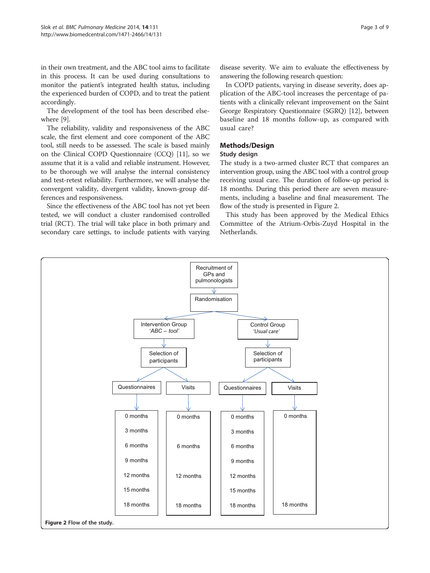in their own treatment, and the ABC tool aims to facilitate in this process. It can be used during consultations to monitor the patient's integrated health status, including the experienced burden of COPD, and to treat the patient accordingly.

The development of the tool has been described elsewhere [\[9](#page-7-0)].

The reliability, validity and responsiveness of the ABC scale, the first element and core component of the ABC tool, still needs to be assessed. The scale is based mainly on the Clinical COPD Questionnaire (CCQ) [[11](#page-7-0)], so we assume that it is a valid and reliable instrument. However, to be thorough we will analyse the internal consistency and test-retest reliability. Furthermore, we will analyse the convergent validity, divergent validity, known-group differences and responsiveness.

Since the effectiveness of the ABC tool has not yet been tested, we will conduct a cluster randomised controlled trial (RCT). The trial will take place in both primary and secondary care settings, to include patients with varying

disease severity. We aim to evaluate the effectiveness by answering the following research question:

In COPD patients, varying in disease severity, does application of the ABC-tool increases the percentage of patients with a clinically relevant improvement on the Saint George Respiratory Questionnaire (SGRQ) [[12](#page-7-0)], between baseline and 18 months follow-up, as compared with usual care?

## Methods/Design

## Study design

The study is a two-armed cluster RCT that compares an intervention group, using the ABC tool with a control group receiving usual care. The duration of follow-up period is 18 months. During this period there are seven measurements, including a baseline and final measurement. The flow of the study is presented in Figure 2.

This study has been approved by the Medical Ethics Committee of the Atrium-Orbis-Zuyd Hospital in the Netherlands.

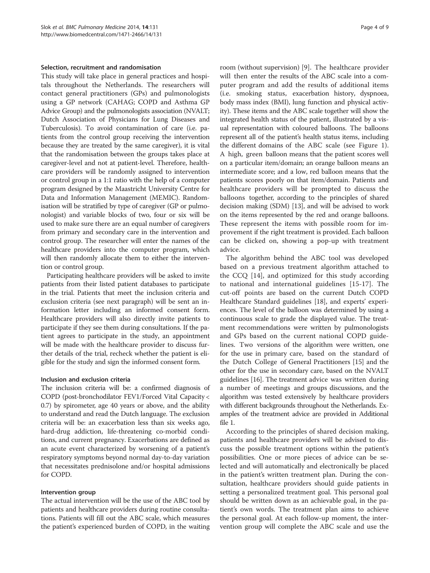#### Selection, recruitment and randomisation

This study will take place in general practices and hospitals throughout the Netherlands. The researchers will contact general practitioners (GPs) and pulmonologists using a GP network (CAHAG; COPD and Asthma GP Advice Group) and the pulmonologists association (NVALT; Dutch Association of Physicians for Lung Diseases and Tuberculosis). To avoid contamination of care (i.e. patients from the control group receiving the intervention because they are treated by the same caregiver), it is vital that the randomisation between the groups takes place at caregiver-level and not at patient-level. Therefore, healthcare providers will be randomly assigned to intervention or control group in a 1:1 ratio with the help of a computer program designed by the Maastricht University Centre for Data and Information Management (MEMIC). Randomisation will be stratified by type of caregiver (GP or pulmonologist) and variable blocks of two, four or six will be used to make sure there are an equal number of caregivers from primary and secondary care in the intervention and control group. The researcher will enter the names of the healthcare providers into the computer program, which will then randomly allocate them to either the intervention or control group.

Participating healthcare providers will be asked to invite patients from their listed patient databases to participate in the trial. Patients that meet the inclusion criteria and exclusion criteria (see next paragraph) will be sent an information letter including an informed consent form. Healthcare providers will also directly invite patients to participate if they see them during consultations. If the patient agrees to participate in the study, an appointment will be made with the healthcare provider to discuss further details of the trial, recheck whether the patient is eligible for the study and sign the informed consent form.

#### Inclusion and exclusion criteria

The inclusion criteria will be: a confirmed diagnosis of COPD (post-bronchodilator FEV1/Forced Vital Capacity < 0.7) by spirometer, age 40 years or above, and the ability to understand and read the Dutch language. The exclusion criteria will be: an exacerbation less than six weeks ago, hard-drug addiction, life-threatening co-morbid conditions, and current pregnancy. Exacerbations are defined as an acute event characterized by worsening of a patient's respiratory symptoms beyond normal day-to-day variation that necessitates prednisolone and/or hospital admissions for COPD.

#### Intervention group

The actual intervention will be the use of the ABC tool by patients and healthcare providers during routine consultations. Patients will fill out the ABC scale, which measures the patient's experienced burden of COPD, in the waiting room (without supervision) [\[9](#page-7-0)]. The healthcare provider will then enter the results of the ABC scale into a computer program and add the results of additional items (i.e. smoking status, exacerbation history, dyspnoea, body mass index (BMI), lung function and physical activity). These items and the ABC scale together will show the integrated health status of the patient, illustrated by a visual representation with coloured balloons. The balloons represent all of the patient's health status items, including the different domains of the ABC scale (see Figure [1](#page-1-0)). A high, green balloon means that the patient scores well on a particular item/domain; an orange balloon means an intermediate score; and a low, red balloon means that the patients scores poorly on that item/domain. Patients and healthcare providers will be prompted to discuss the balloons together, according to the principles of shared decision making (SDM) [[13](#page-7-0)], and will be advised to work on the items represented by the red and orange balloons. These represent the items with possible room for improvement if the right treatment is provided. Each balloon can be clicked on, showing a pop-up with treatment advice.

The algorithm behind the ABC tool was developed based on a previous treatment algorithm attached to the CCQ [[14\]](#page-7-0), and optimized for this study according to national and international guidelines [[15-](#page-7-0)[17](#page-8-0)]. The cut-off points are based on the current Dutch COPD Healthcare Standard guidelines [[18](#page-8-0)], and experts' experiences. The level of the balloon was determined by using a continuous scale to grade the displayed value. The treatment recommendations were written by pulmonologists and GPs based on the current national COPD guidelines. Two versions of the algorithm were written, one for the use in primary care, based on the standard of the Dutch College of General Practitioners [[15](#page-7-0)] and the other for the use in secondary care, based on the NVALT guidelines [\[16](#page-7-0)]. The treatment advice was written during a number of meetings and groups discussions, and the algorithm was tested extensively by healthcare providers with different backgrounds throughout the Netherlands. Examples of the treatment advice are provided in Additional file [1](#page-7-0).

According to the principles of shared decision making, patients and healthcare providers will be advised to discuss the possible treatment options within the patient's possibilities. One or more pieces of advice can be selected and will automatically and electronically be placed in the patient's written treatment plan. During the consultation, healthcare providers should guide patients in setting a personalized treatment goal. This personal goal should be written down as an achievable goal, in the patient's own words. The treatment plan aims to achieve the personal goal. At each follow-up moment, the intervention group will complete the ABC scale and use the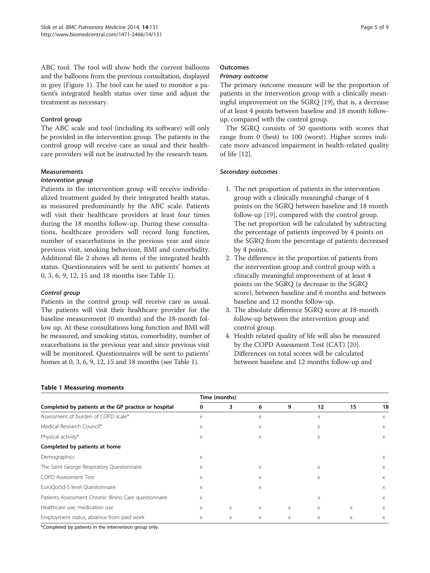ABC tool. The tool will show both the current balloons and the balloons from the previous consultation, displayed in grey (Figure [1](#page-1-0)). The tool can be used to monitor a patient's integrated health status over time and adjust the treatment as necessary.

## Control group

The ABC scale and tool (including its software) will only be provided in the intervention group. The patients in the control group will receive care as usual and their healthcare providers will not be instructed by the research team.

## Measurements

## Intervention group

Patients in the intervention group will receive individualized treatment guided by their integrated health status, as measured predominantly by the ABC scale. Patients will visit their healthcare providers at least four times during the 18 months follow-up. During these consultations, healthcare providers will record lung function, number of exacerbations in the previous year and since previous visit, smoking behaviour, BMI and comorbidity. Additional file [2](#page-7-0) shows all items of the integrated health status. Questionnaires will be sent to patients' homes at 0, 3, 6, 9, 12, 15 and 18 months (see Table 1).

## Control group

Patients in the control group will receive care as usual. The patients will visit their healthcare provider for the baseline measurement (0 months) and the 18-month follow up. At these consultations lung function and BMI will be measured, and smoking status, comorbidity, number of exacerbations in the previous year and since previous visit will be monitored. Questionnaires will be sent to patients' homes at 0, 3, 6, 9, 12, 15 and 18 months (see Table 1).

## **Outcomes**

#### Primary outcome

The primary outcome measure will be the proportion of patients in the intervention group with a clinically meaningful improvement on the SGRQ [[19](#page-8-0)], that is, a decrease of at least 4 points between baseline and 18 month followup, compared with the control group.

The SGRQ consists of 50 questions with scores that range from 0 (best) to 100 (worst). Higher scores indicate more advanced impairment in health-related quality of life [\[12\]](#page-7-0).

## Secondary outcomes

- 1. The net proportion of patients in the intervention group with a clinically meaningful change of 4 points on the SGRQ between baseline and 18 month follow-up [[19\]](#page-8-0), compared with the control group. The net proportion will be calculated by subtracting the percentage of patients improved by 4 points on the SGRQ from the percentage of patients decreased by 4 points.
- 2. The difference in the proportion of patients from the intervention group and control group with a clinically meaningful improvement of at least 4 points on the SGRQ (a decrease in the SGRQ score), between baseline and 6 months and between baseline and 12 months follow-up.
- 3. The absolute difference SGRQ score at 18-month follow-up between the intervention group and control group.
- 4. Health related quality of life will also be measured by the COPD Assessment Test (CAT) [\[20\]](#page-8-0). Differences on total scores will be calculated between baseline and 12 months follow-up and

| Completed by patients at the GP practice or hospital   | Time (months) |          |          |          |          |    |          |
|--------------------------------------------------------|---------------|----------|----------|----------|----------|----|----------|
|                                                        | 0             | 3        | 6        | 9        | 12       | 15 | 18       |
| Assessment of burden of COPD scale*                    | X             |          | X        |          | X        |    | X        |
| Medical Research Council*                              | X             |          | X        |          | X        |    | X        |
| Physical activity*                                     | X             |          | $\times$ |          | X        |    | $\times$ |
| Completed by patients at home                          |               |          |          |          |          |    |          |
| Demographics                                           | X             |          |          |          |          |    | $\times$ |
| The Saint George Respiratory Questionnaire             | X             |          | X        |          | X        |    | $\times$ |
| COPD Assessment Test                                   | X             |          | X        |          | X        |    | $\times$ |
| EuroQol5d-5 level Questionnaire                        | X             |          | X        |          |          |    | $\times$ |
| Patients Assessment Chronic Illness Care questionnaire | X             |          |          |          | X        |    | $\times$ |
| Healthcare use, medication use                         | X             | $\times$ | $\times$ | $\times$ | $\times$ | X  | $\times$ |
| Employment status, absence from paid work              | X             | X        | $\times$ | $\times$ | $\times$ | X  | $\times$ |
|                                                        |               |          |          |          |          |    |          |

#### Table 1 Measuring moments

\*Completed by patients in the intervention group only.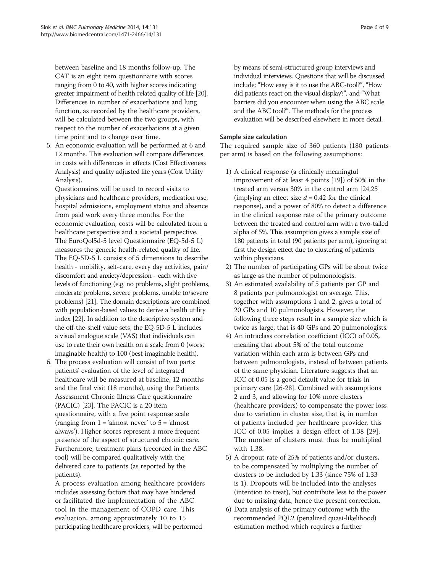between baseline and 18 months follow-up. The CAT is an eight item questionnaire with scores ranging from 0 to 40, with higher scores indicating greater impairment of health related quality of life [[20](#page-8-0)]. Differences in number of exacerbations and lung function, as recorded by the healthcare providers, will be calculated between the two groups, with respect to the number of exacerbations at a given time point and to change over time.

5. An economic evaluation will be performed at 6 and 12 months. This evaluation will compare differences in costs with differences in effects (Cost Effectiveness Analysis) and quality adjusted life years (Cost Utility Analysis).

Questionnaires will be used to record visits to physicians and healthcare providers, medication use, hospital admissions, employment status and absence from paid work every three months. For the economic evaluation, costs will be calculated from a healthcare perspective and a societal perspective. The EuroQol5d-5 level Questionnaire (EQ-5d-5 L) measures the generic health-related quality of life. The EQ-5D-5 L consists of 5 dimensions to describe health - mobility, self-care, every day activities, pain/ discomfort and anxiety/depression - each with five levels of functioning (e.g. no problems, slight problems, moderate problems, severe problems, unable to/severe problems) [\[21](#page-8-0)]. The domain descriptions are combined with population-based values to derive a health utility index [\[22\]](#page-8-0). In addition to the descriptive system and the off-the-shelf value sets, the EQ-5D-5 L includes a visual analogue scale (VAS) that individuals can use to rate their own health on a scale from 0 (worst imaginable health) to 100 (best imaginable health).

6. The process evaluation will consist of two parts: patients' evaluation of the level of integrated healthcare will be measured at baseline, 12 months and the final visit (18 months), using the Patients Assessment Chronic Illness Care questionnaire (PACIC) [[23](#page-8-0)]. The PACIC is a 20 item questionnaire, with a five point response scale (ranging from  $1 = \text{'almost never' to } 5 = \text{'almost}$ always'). Higher scores represent a more frequent presence of the aspect of structured chronic care. Furthermore, treatment plans (recorded in the ABC tool) will be compared qualitatively with the delivered care to patients (as reported by the patients).

A process evaluation among healthcare providers includes assessing factors that may have hindered or facilitated the implementation of the ABC tool in the management of COPD care. This evaluation, among approximately 10 to 15 participating healthcare providers, will be performed

by means of semi-structured group interviews and individual interviews. Questions that will be discussed include; "How easy is it to use the ABC-tool?", "How did patients react on the visual display?", and "What barriers did you encounter when using the ABC scale and the ABC tool?". The methods for the process evaluation will be described elsewhere in more detail.

## Sample size calculation

The required sample size of 360 patients (180 patients per arm) is based on the following assumptions:

- 1) A clinical response (a clinically meaningful improvement of at least 4 points [\[19\]](#page-8-0)) of 50% in the treated arm versus 30% in the control arm [\[24,25\]](#page-8-0) (implying an effect size  $d = 0.42$  for the clinical response), and a power of 80% to detect a difference in the clinical response rate of the primary outcome between the treated and control arm with a two-tailed alpha of 5%. This assumption gives a sample size of 180 patients in total (90 patients per arm), ignoring at first the design effect due to clustering of patients within physicians.
- 2) The number of participating GPs will be about twice as large as the number of pulmonologists.
- 3) An estimated availability of 5 patients per GP and 8 patients per pulmonologist on average. This, together with assumptions 1 and 2, gives a total of 20 GPs and 10 pulmonologists. However, the following three steps result in a sample size which is twice as large, that is 40 GPs and 20 pulmonologists.
- 4) An intraclass correlation coefficient (ICC) of 0.05, meaning that about 5% of the total outcome variation within each arm is between GPs and between pulmonologists, instead of between patients of the same physician. Literature suggests that an ICC of 0.05 is a good default value for trials in primary care [[26](#page-8-0)-[28\]](#page-8-0). Combined with assumptions 2 and 3, and allowing for 10% more clusters (healthcare providers) to compensate the power loss due to variation in cluster size, that is, in number of patients included per healthcare provider, this ICC of 0.05 implies a design effect of 1.38 [\[29](#page-8-0)]. The number of clusters must thus be multiplied with 1.38.
- 5) A dropout rate of 25% of patients and/or clusters, to be compensated by multiplying the number of clusters to be included by 1.33 (since 75% of 1.33 is 1). Dropouts will be included into the analyses (intention to treat), but contribute less to the power due to missing data, hence the present correction.
- 6) Data analysis of the primary outcome with the recommended PQL2 (penalized quasi-likelihood) estimation method which requires a further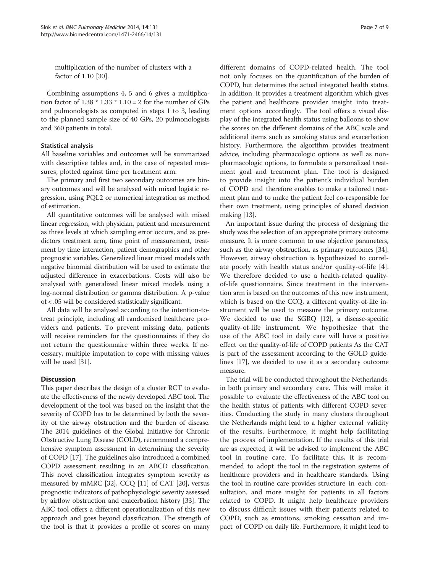multiplication of the number of clusters with a factor of 1.10 [[30\]](#page-8-0).

Combining assumptions 4, 5 and 6 gives a multiplication factor of  $1.38 * 1.33 * 1.10 = 2$  for the number of GPs and pulmonologists as computed in steps 1 to 3, leading to the planned sample size of 40 GPs, 20 pulmonologists and 360 patients in total.

## Statistical analysis

All baseline variables and outcomes will be summarized with descriptive tables and, in the case of repeated measures, plotted against time per treatment arm.

The primary and first two secondary outcomes are binary outcomes and will be analysed with mixed logistic regression, using PQL2 or numerical integration as method of estimation.

All quantitative outcomes will be analysed with mixed linear regression, with physician, patient and measurement as three levels at which sampling error occurs, and as predictors treatment arm, time point of measurement, treatment by time interaction, patient demographics and other prognostic variables. Generalized linear mixed models with negative binomial distribution will be used to estimate the adjusted difference in exacerbations. Costs will also be analysed with generalized linear mixed models using a log-normal distribution or gamma distribution. A p-value of < .05 will be considered statistically significant.

All data will be analysed according to the intention-totreat principle, including all randomised healthcare providers and patients. To prevent missing data, patients will receive reminders for the questionnaires if they do not return the questionnaire within three weeks. If necessary, multiple imputation to cope with missing values will be used [\[31](#page-8-0)].

## **Discussion**

This paper describes the design of a cluster RCT to evaluate the effectiveness of the newly developed ABC tool. The development of the tool was based on the insight that the severity of COPD has to be determined by both the severity of the airway obstruction and the burden of disease. The 2014 guidelines of the Global Initiative for Chronic Obstructive Lung Disease (GOLD), recommend a comprehensive symptom assessment in determining the severity of COPD [[17](#page-8-0)]. The guidelines also introduced a combined COPD assessment resulting in an ABCD classification. This novel classification integrates symptom severity as measured by mMRC [\[32\]](#page-8-0), CCQ [[11](#page-7-0)] of CAT [\[20\]](#page-8-0), versus prognostic indicators of pathophysiologic severity assessed by airflow obstruction and exacerbation history [\[33\]](#page-8-0). The ABC tool offers a different operationalization of this new approach and goes beyond classification. The strength of the tool is that it provides a profile of scores on many different domains of COPD-related health. The tool not only focuses on the quantification of the burden of COPD, but determines the actual integrated health status. In addition, it provides a treatment algorithm which gives the patient and healthcare provider insight into treatment options accordingly. The tool offers a visual display of the integrated health status using balloons to show the scores on the different domains of the ABC scale and additional items such as smoking status and exacerbation history. Furthermore, the algorithm provides treatment advice, including pharmacologic options as well as nonpharmacologic options, to formulate a personalized treatment goal and treatment plan. The tool is designed to provide insight into the patient's individual burden of COPD and therefore enables to make a tailored treatment plan and to make the patient feel co-responsible for their own treatment, using principles of shared decision making [\[13\]](#page-7-0).

An important issue during the process of designing the study was the selection of an appropriate primary outcome measure. It is more common to use objective parameters, such as the airway obstruction, as primary outcomes [[34](#page-8-0)]. However, airway obstruction is hypothesized to correlate poorly with health status and/or quality-of-life [\[4](#page-7-0)]. We therefore decided to use a health-related qualityof-life questionnaire. Since treatment in the intervention arm is based on the outcomes of this new instrument, which is based on the CCQ, a different quality-of-life instrument will be used to measure the primary outcome. We decided to use the SGRQ [[12](#page-7-0)], a disease-specific quality-of-life instrument. We hypothesize that the use of the ABC tool in daily care will have a positive effect on the quality-of-life of COPD patients As the CAT is part of the assessment according to the GOLD guidelines [\[17\]](#page-8-0), we decided to use it as a secondary outcome measure.

The trial will be conducted throughout the Netherlands, in both primary and secondary care. This will make it possible to evaluate the effectiveness of the ABC tool on the health status of patients with different COPD severities. Conducting the study in many clusters throughout the Netherlands might lead to a higher external validity of the results. Furthermore, it might help facilitating the process of implementation. If the results of this trial are as expected, it will be advised to implement the ABC tool in routine care. To facilitate this, it is recommended to adopt the tool in the registration systems of healthcare providers and in healthcare standards. Using the tool in routine care provides structure in each consultation, and more insight for patients in all factors related to COPD. It might help healthcare providers to discuss difficult issues with their patients related to COPD, such as emotions, smoking cessation and impact of COPD on daily life. Furthermore, it might lead to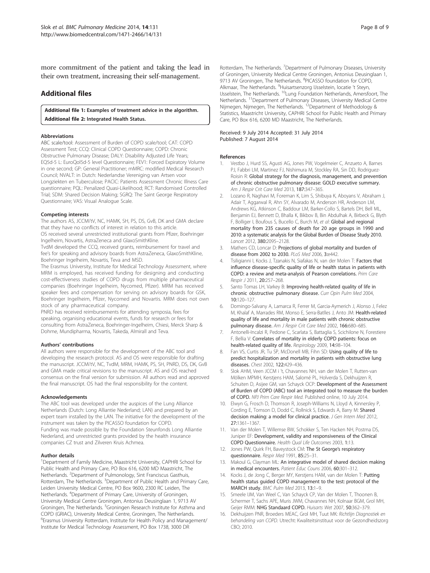<span id="page-7-0"></span>more commitment of the patient and taking the lead in their own treatment, increasing their self-management.

## Additional files

[Additional file 1:](http://www.biomedcentral.com/content/supplementary/1471-2466-14-131-S1.docx) Examples of treatment advice in the algorithm. [Additional file 2:](http://www.biomedcentral.com/content/supplementary/1471-2466-14-131-S2.docx) Integrated Health Status.

#### Abbreviations

ABC scale/tool: Assessment of Burden of COPD scale/tool; CAT: COPD Assessment Test; CCQ: Clinical COPD Questionnaire; COPD: Chronic Obstructive Pulmonary Disease; DALY: Disability Adjusted Life Years; EQ5d-5 L: EuroQol5d-5 level Questionnaire; FEV1: Forced Expiratory Volume in one second; GP: General Practitioner; mMRC: modified Medical Research Council; NVALT: in Dutch: Nederlandse Vereniging van Artsen voor Longziekten en Tuberculose; PACIC: Patients Assessment Chronic Illness Care questionnaire; PQL: Penalized Quasi-Likelihood; RCT: Randomised Controlled Trial; SDM: Shared Decision Making; SGRQ: The Saint George Respiratory Questionnaire; VAS: Visual Analogue Scale.

#### Competing interests

The authors AS, JCCMi'tV, NC, HAMK, SH, PS, DS, GvB, DK and GMA declare that they have no conflicts of interest in relation to this article.

OS received several unrestricted institutional grants from Pfizer, Boehringer Ingelheim, Novartis, AstraZeneca and GlaxoSmithKline.

TvdM developed the CCQ, received grants, reimbursement for travel and fee's for speaking and advisory boards from AstraZeneca, GlaxoSmithKline, Boehringer Ingelheim, Novartis, Teva and MSD.

The Erasmus University, Institute for Medical Technology Assessment, where MRM is employed, has received funding for designing and conducting cost-effectiveness studies of COPD drugs from multiple pharmaceutical companies (Boehringer Ingelheim, Nycomed, Pfizer). MRM has received speaker fees and compensation for serving on advisory boards for GSK, Boehringer Ingelheim, Pfizer, Nycomed and Novartis. MRM does not own stock of any pharmaceutical company.

PNRD has received reimbursements for attending symposia, fees for speaking, organising educational events, funds for research or fees for consulting from AstraZeneca, Boehringer-Ingelheim, Chiesi, Merck Sharp & Dohme, Mundipharma, Novartis, Takeda, Almirall and Teva.

#### Authors' contributions

All authors were responsible for the development of the ABC tool and developing the research protocol. AS and OS were responsible for drafting the manuscript. JCCMi'tV, NC, TvdM, MRM, HAMK, PS, SH, PNRD, DS, DK, GvB and GMA made critical revisions to the manuscript. AS and OS reached consensus on the final version for submission. All authors read and approved the final manuscript. OS had the final responsibility for the content.

#### Acknowledgements

The ABC tool was developed under the auspices of the Lung Alliance Netherlands (Dutch: Long Alliantie Nederland; LAN) and prepared by an expert team installed by the LAN. The initiative for the development of the instrument was taken by the PICASSO foundation for COPD. Funding was made possible by the Foundation Steunfonds Long Alliantie Nederland, and unrestricted grants provided by the health insurance companies CZ trust and Zilveren Kruis Achmea.

#### Author details

<sup>1</sup>Department of Family Medicine, Maastricht University, CAPHRI School for Public Health and Primary Care, PO Box 616, 6200 MD Maastricht, The Netherlands. <sup>2</sup>Department of Pulmonology, Sint Franciscus Gasthuis, Rotterdam, The Netherlands. <sup>3</sup>Department of Public Health and Primary Care, Leiden University Medical Centre, PO Box 9600, 2300 RC Leiden, The Netherlands. <sup>4</sup>Department of Primary Care, University of Groningen, University Medical Centre Groningen, Antonius Deusinglaan 1, 9713 AV Groningen, The Netherlands. <sup>5</sup>Groningen Research Institute for Asthma and COPD (GRIAC), University Medical Centre, Groningen, The Netherlands. 6 Erasmus University Rotterdam, Institute for Health Policy and Management/ Institute for Medical Technology Assessment, PO Box 1738, 3000 DR

Rotterdam, The Netherlands. <sup>7</sup> Department of Pulmonary Diseases, University of Groningen, University Medical Centre Groningen, Antonius Deusinglaan 1, 9713 AV Groningen, The Netherlands. <sup>8</sup>PICASSO foundation for COPD Alkmaar, The Netherlands. <sup>9</sup>Huisartsenzorg IJsselstein, locatie 't Steyn IJsselstein, The Netherlands. 10Lung Foundation Netherlands, Amersfoort, The Netherlands.<sup>11</sup>Department of Pulmonary Diseases, University Medical Centre Nijmegen, Nijmegen, The Netherlands. <sup>12</sup>Department of Methodology & Statistics, Maastricht University, CAPHRI School for Public Health and Primary Care, PO Box 616, 6200 MD Maastricht, The Netherlands.

Received: 9 July 2014 Accepted: 31 July 2014 Published: 7 August 2014

#### References

- 1. Vestbo J, Hurd SS, Agusti AG, Jones PW, Vogelmeier C, Anzueto A, Barnes PJ, Fabbri LM, Martinez FJ, Nishimura M, Stockley RA, Sin DD, Rodriguez-Roisin R: Global strategy for the diagnosis, management, and prevention of chronic obstructive pulmonary disease: GOLD executive summary. Am J Respir Crit Care Med 2013, 187:347–365.
- 2. Lozano R, Naghavi M, Foreman K, Lim S, Shibuya K, Aboyans V, Abraham J, Adair T, Aggarwal R, Ahn SY, Alvarado M, Anderson HR, Anderson LM, Andrews KG, Atkinson C, Baddour LM, Barker-Collo S, Bartels DH, Bell ML, Benjamin EJ, Bennett D, Bhalla K, Bikbov B, Bin Abdulhak A, Birbeck G, Blyth F, Bolliger I, Boufous S, Bucello C, Burch M, et al: Global and regional mortality from 235 causes of death for 20 age groups in 1990 and 2010: a systematic analysis for the Global Burden of Disease Study 2010. Lancet 2012, 380:2095–2128.
- 3. Mathers CD, Loncar D: Projections of global mortality and burden of disease from 2002 to 2030. PLoS Med 2006, 3:e442.
- 4. Tsiligianni I, Kocks J, Tzanakis N, Siafakas N, van der Molen T: Factors that influence disease-specific quality of life or health status in patients with COPD: a review and meta-analysis of Pearson correlations. Prim Care Respir J 2011, 20:257–268.
- 5. Santo Tomas LH, Varkey B: Improving health-related quality of life in chronic obstructive pulmonary disease. Curr Opin Pulm Med 2004, 10:120–127.
- 6. Domingo-Salvany A, Lamarca R, Ferrer M, Garcia-Aymerich J, Alonso J, Felez M, Khalaf A, Marrades RM, Monso E, Serra-Batlles J, Anto JM: Health-related quality of life and mortality in male patients with chronic obstructive pulmonary disease. Am J Respir Crit Care Med 2002, 166:680-685.
- 7. Antonelli-Incalzi R, Pedone C, Scarlata S, Battaglia S, Scichilone N, Forestiere F, Bellia V: Correlates of mortality in elderly COPD patients: focus on health-related quality of life. Respirology 2009, 14:98–104.
- 8. Fan VS, Curtis JR, Tu SP, McDonell MB, Fihn SD: Using quality of life to predict hospitalization and mortality in patients with obstructive lung diseases. Chest 2002, 122:429–436.
- 9. Slok AHM, Veen JCCM i 't, Chavannes NH, van der Molen T, Rutten-van Mölken MPMH, Kerstjens HAM, Salomé PL, Holverda S, Dekhuijzen R, Schuiten D, Asijee GM, van Schayck OCP: Development of the Assessment of Burden of COPD (ABC) tool an integrated tool to measure the burden of COPD. NPJ Prim Care Respir Med. Published online, 10 July 2014.
- 10. Elwyn G, Frosch D, Thomson R, Joseph-Williams N, Lloyd A, Kinnersley P, Cording E, Tomson D, Dodd C, Rollnick S, Edwards A, Barry M: Shared decision making: a model for clinical practice. J Gen Intern Med 2012, 27:1361–1367.
- 11. Van der Molen T, Willemse BW, Schokker S, Ten Hacken NH, Postma DS, Juniper EF: Development, validity and responsiveness of the Clinical COPD Questionnaire. Health Qual Life Outcomes 2003, 1:13.
- 12. Jones PW, Quirk FH, Baveystock CM: The St George's respiratory questionnaire. Respir Med 1991, 85:25–31.
- 13. Makoul G, Clayman ML: An integrative model of shared decision making in medical encounters. Patient Educ Couns 2006, 60:301–312.
- 14. Kocks J, de Jong C, Berger MY, Kerstjens HAM, van der Molen T: Putting health status guided COPD management to the test: protocol of the MARCH study. BMC Pulm Med 2013, 13:1–9.
- 15. Smeele IJM, Van Weel C, Van Schayck CP, Van der Molen T, Thoonen B, Schermer T, Sachs APE, Muris JWM, Chavannes NH, Kolnaar BGM, Grol MH, Geijer RMM: NHG Standaard COPD. Huisarts Wet 2007, 50:362–379.
- 16. Dekhuijzen PNR, Broeders MEAC, Grol MH, Tuut MK: Richtlijn Diagnostiek en behandeling van COPD. Utrecht: Kwaliteitsinstituut voor de Gezondheidszorg CBO; 2010.